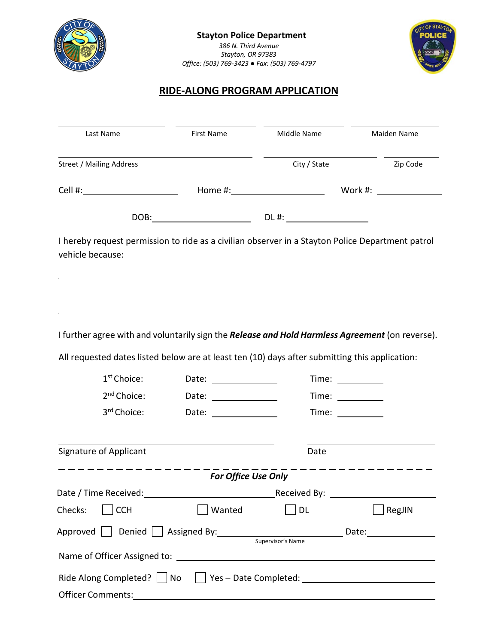



# **RIDE-ALONG PROGRAM APPLICATION**

| Last Name                | First Name | Middle Name  | Maiden Name       |
|--------------------------|------------|--------------|-------------------|
| Street / Mailing Address |            | City / State | Zip Code          |
| Cell #:                  | Home #:    |              | Work #: _________ |
| DOB:                     |            | DL #:        |                   |

I hereby request permission to ride as a civilian observer in a Stayton Police Department patrol vehicle because:

I further agree with and voluntarily sign the *Release and Hold Harmless Agreement* (on reverse).

All requested dates listed below are at least ten (10) days after submitting this application:

| $1st$ Choice:                                                                       | Date: _______________                                  |           |        |  |  |  |
|-------------------------------------------------------------------------------------|--------------------------------------------------------|-----------|--------|--|--|--|
| 2 <sup>nd</sup> Choice:                                                             | Date: $\frac{1}{\sqrt{1-\frac{1}{2}}\cdot\frac{1}{2}}$ |           |        |  |  |  |
| 3 <sup>rd</sup> Choice:                                                             | Date: _______________                                  |           |        |  |  |  |
| <b>Signature of Applicant</b>                                                       |                                                        | Date      |        |  |  |  |
| <b>For Office Use Only</b>                                                          |                                                        |           |        |  |  |  |
|                                                                                     |                                                        |           |        |  |  |  |
| Checks:   [CCH]                                                                     | Wanted                                                 | <b>DL</b> | RegJIN |  |  |  |
| Approved     Denied     Assigned By: 100 minutes and the Date:<br>Supervisor's Name |                                                        |           |        |  |  |  |
|                                                                                     |                                                        |           |        |  |  |  |
| Ride Along Completed?   No   Yes - Date Completed: _____________________________    |                                                        |           |        |  |  |  |
|                                                                                     |                                                        |           |        |  |  |  |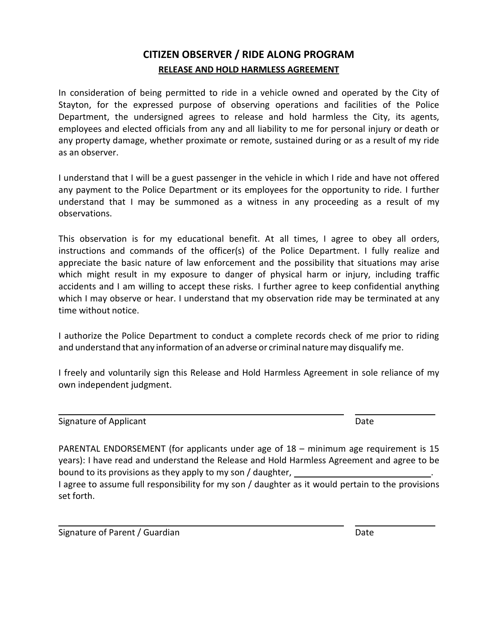# **CITIZEN OBSERVER / RIDE ALONG PROGRAM RELEASE AND HOLD HARMLESS AGREEMENT**

In consideration of being permitted to ride in a vehicle owned and operated by the City of Stayton, for the expressed purpose of observing operations and facilities of the Police Department, the undersigned agrees to release and hold harmless the City, its agents, employees and elected officials from any and all liability to me for personal injury or death or any property damage, whether proximate or remote, sustained during or as a result of my ride as an observer.

I understand that I will be a guest passenger in the vehicle in which I ride and have not offered any payment to the Police Department or its employees for the opportunity to ride. I further understand that I may be summoned as a witness in any proceeding as a result of my observations.

This observation is for my educational benefit. At all times, I agree to obey all orders, instructions and commands of the officer(s) of the Police Department. I fully realize and appreciate the basic nature of law enforcement and the possibility that situations may arise which might result in my exposure to danger of physical harm or injury, including traffic accidents and I am willing to accept these risks. I further agree to keep confidential anything which I may observe or hear. I understand that my observation ride may be terminated at any time without notice.

I authorize the Police Department to conduct a complete records check of me prior to riding and understand that any information of an adverse or criminal naturemay disqualify me.

I freely and voluntarily sign this Release and Hold Harmless Agreement in sole reliance of my own independent judgment.

Signature of Applicant **Date** Date of Applicant **Date** 

PARENTAL ENDORSEMENT (for applicants under age of 18 – minimum age requirement is 15 years): I have read and understand the Release and Hold Harmless Agreement and agree to be bound to its provisions as they apply to my son / daughter, I agree to assume full responsibility for my son / daughter as it would pertain to the provisions set forth.

Signature of Parent / Guardian Date **Date is a struck of Parent Australian** Date Date